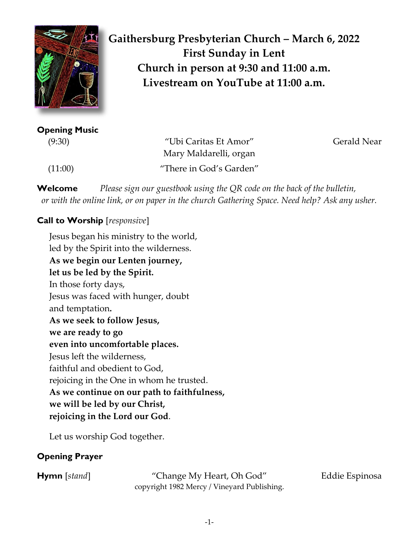

**Gaithersburg Presbyterian Church – March 6, 2022 First Sunday in Lent Church in person at 9:30 and 11:00 a.m. Livestream on YouTube at 11:00 a.m.**

**Opening Music** 

 (9:30) "Ubi Caritas Et Amor" Gerald Near Mary Maldarelli, organ (11:00) "There in God's Garden"

**Welcome** *Please sign our guestbook using the QR code on the back of the bulletin, or with the online link, or on paper in the church Gathering Space. Need help? Ask any usher.*

# **Call to Worship** [*responsive*]

Jesus began his ministry to the world, led by the Spirit into the wilderness. **As we begin our Lenten journey, let us be led by the Spirit.**  In those forty days, Jesus was faced with hunger, doubt and temptation**. As we seek to follow Jesus, we are ready to go even into uncomfortable places.** Jesus left the wilderness, faithful and obedient to God, rejoicing in the One in whom he trusted. **As we continue on our path to faithfulness, we will be led by our Christ, rejoicing in the Lord our God**.

Let us worship God together.

# **Opening Prayer**

**Hymn** [*stand*] "Change My Heart, Oh God" Eddie Espinosa copyright 1982 Mercy / Vineyard Publishing.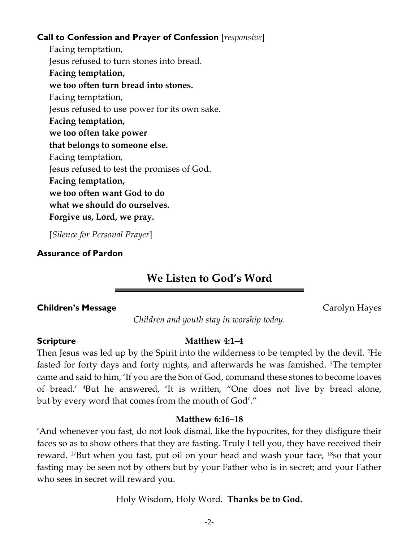#### **Call to Confession and Prayer of Confession** [*responsive*]

Facing temptation, Jesus refused to turn stones into bread. **Facing temptation, we too often turn bread into stones.** Facing temptation, Jesus refused to use power for its own sake. **Facing temptation, we too often take power that belongs to someone else.** Facing temptation, Jesus refused to test the promises of God. **Facing temptation, we too often want God to do what we should do ourselves. Forgive us, Lord, we pray.** 

[*Silence for Personal Prayer*]

#### **Assurance of Pardon**

# **We Listen to God's Word**

#### **Children's Message** Carolyn Hayes

*Children and youth stay in worship today.*

#### **Scripture Matthew 4:1–4**

Then Jesus was led up by the Spirit into the wilderness to be tempted by the devil. 2He fasted for forty days and forty nights, and afterwards he was famished. 3The tempter came and said to him, 'If you are the Son of God, command these stones to become loaves of bread.' 4But he answered, 'It is written, "One does not live by bread alone, but by every word that comes from the mouth of God'."

#### **Matthew 6:16–18**

'And whenever you fast, do not look dismal, like the hypocrites, for they disfigure their faces so as to show others that they are fasting. Truly I tell you, they have received their reward. 17But when you fast, put oil on your head and wash your face, 18so that your fasting may be seen not by others but by your Father who is in secret; and your Father who sees in secret will reward you.

Holy Wisdom, Holy Word. **Thanks be to God.**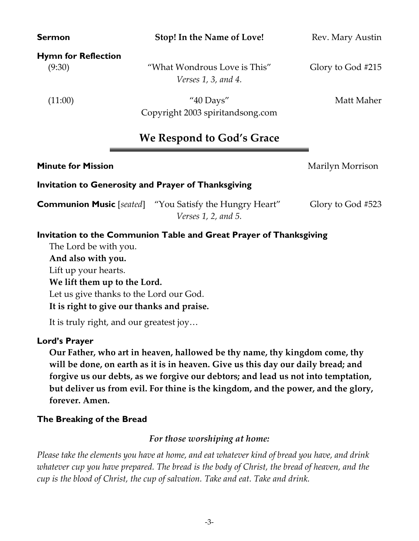**Hymn for Reflection**

 (9:30) "What Wondrous Love is This" Glory to God #215 *Verses 1, 3, and 4.*

 $(11:00)$  "40 Days" Matt Maher Copyright 2003 spiritandsong.com

# **We Respond to God's Grace**

# **Invitation to Generosity and Prayer of Thanksgiving**

**Communion Music** [*seated*] "You Satisfy the Hungry Heart" Glory to God #523 *Verses 1, 2, and 5.*

### **Invitation to the Communion Table and Great Prayer of Thanksgiving**

The Lord be with you. **And also with you.** Lift up your hearts. **We lift them up to the Lord.** Let us give thanks to the Lord our God. **It is right to give our thanks and praise.**

It is truly right, and our greatest joy…

#### **Lord's Prayer**

**Our Father, who art in heaven, hallowed be thy name, thy kingdom come, thy will be done, on earth as it is in heaven. Give us this day our daily bread; and forgive us our debts, as we forgive our debtors; and lead us not into temptation, but deliver us from evil. For thine is the kingdom, and the power, and the glory, forever. Amen.**

#### **The Breaking of the Bread**

#### *For those worshiping at home:*

*Please take the elements you have at home, and eat whatever kind of bread you have, and drink whatever cup you have prepared. The bread is the body of Christ, the bread of heaven, and the cup is the blood of Christ, the cup of salvation. Take and eat. Take and drink.*

**Sermon Stop! In the Name of Love!** Rev. Mary Austin

**Minute for Mission** Marilyn Morrison